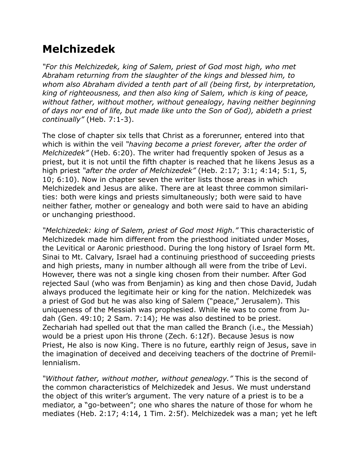## **Melchizedek**

*"For this Melchizedek, king of Salem, priest of God most high, who met Abraham returning from the slaughter of the kings and blessed him, to whom also Abraham divided a tenth part of all (being first, by interpretation, king of righteousness, and then also king of Salem, which is king of peace, without father, without mother, without genealogy, having neither beginning of days nor end of life, but made like unto the Son of God), abideth a priest continually"* (Heb. 7:1-3).

The close of chapter six tells that Christ as a forerunner, entered into that which is within the veil *"having become a priest forever, after the order of Melchizedek"* (Heb. 6:20). The writer had frequently spoken of Jesus as a priest, but it is not until the fifth chapter is reached that he likens Jesus as a high priest *"after the order of Melchizedek"* (Heb. 2:17; 3:1; 4:14; 5:1, 5, 10; 6:10). Now in chapter seven the writer lists those areas in which Melchizedek and Jesus are alike. There are at least three common similarities: both were kings and priests simultaneously; both were said to have neither father, mother or genealogy and both were said to have an abiding or unchanging priesthood.

*"Melchizedek: king of Salem, priest of God most High."* This characteristic of Melchizedek made him different from the priesthood initiated under Moses, the Levitical or Aaronic priesthood. During the long history of Israel form Mt. Sinai to Mt. Calvary, Israel had a continuing priesthood of succeeding priests and high priests, many in number although all were from the tribe of Levi. However, there was not a single king chosen from their number. After God rejected Saul (who was from Benjamin) as king and then chose David, Judah always produced the legitimate heir or king for the nation. Melchizedek was a priest of God but he was also king of Salem ("peace," Jerusalem). This uniqueness of the Messiah was prophesied. While He was to come from Judah (Gen. 49:10; 2 Sam. 7:14); He was also destined to be priest. Zechariah had spelled out that the man called the Branch (i.e., the Messiah) would be a priest upon His throne (Zech. 6:12f). Because Jesus is now Priest, He also is now King. There is no future, earthly reign of Jesus, save in the imagination of deceived and deceiving teachers of the doctrine of Premillennialism.

*"Without father, without mother, without genealogy."* This is the second of the common characteristics of Melchizedek and Jesus. We must understand the object of this writer's argument. The very nature of a priest is to be a mediator, a "go-between"; one who shares the nature of those for whom he mediates (Heb. 2:17; 4:14, 1 Tim. 2:5f). Melchizedek was a man; yet he left